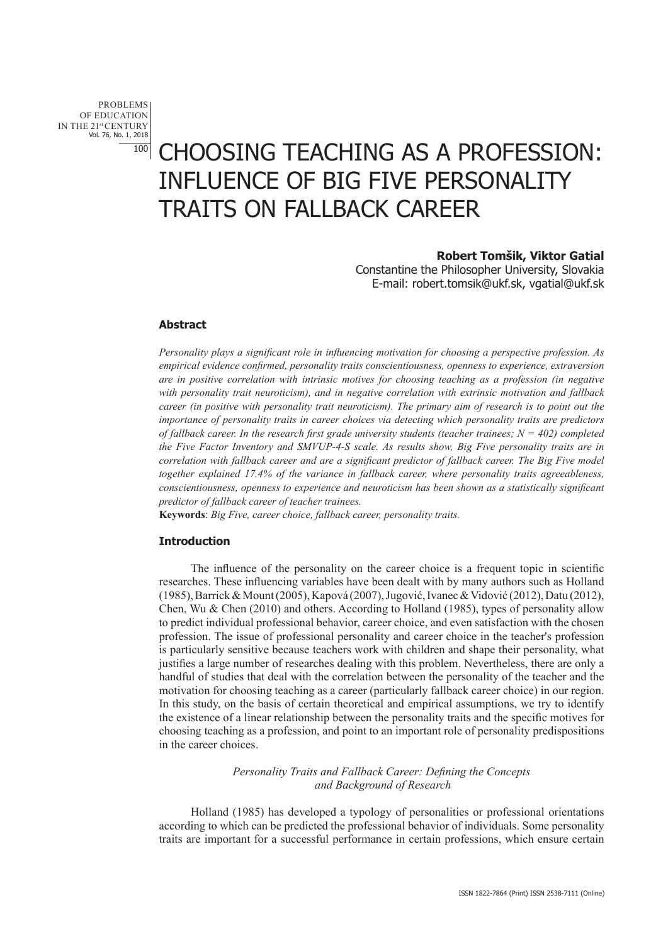PROBLEMS OF EDUCATION IN THE 21st CENTURY Vol. 76, No. 1, 2018 100

# CHOOSING TEACHING AS A PROFESSION: INFLUENCE OF BIG FIVE PERSONALITY TRAITS ON FALLBACK CAREER

# **Robert Tomšik, Viktor Gatial**

Constantine the Philosopher University, Slovakia E-mail: robert.tomsik@ukf.sk, vgatial@ukf.sk

# **Abstract**

*Personality plays a significant role in influencing motivation for choosing a perspective profession. As empirical evidence confirmed, personality traits conscientiousness, openness to experience, extraversion are in positive correlation with intrinsic motives for choosing teaching as a profession (in negative with personality trait neuroticism), and in negative correlation with extrinsic motivation and fallback career (in positive with personality trait neuroticism). The primary aim of research is to point out the importance of personality traits in career choices via detecting which personality traits are predictors of fallback career. In the research first grade university students (teacher trainees; N = 402) completed the Five Factor Inventory and SMVUP-4-S scale. As results show, Big Five personality traits are in correlation with fallback career and are a significant predictor of fallback career. The Big Five model together explained 17.4% of the variance in fallback career, where personality traits agreeableness, conscientiousness, openness to experience and neuroticism has been shown as a statistically significant predictor of fallback career of teacher trainees.*

**Keywords**: *Big Five, career choice, fallback career, personality traits.* 

# **Introduction**

The influence of the personality on the career choice is a frequent topic in scientific researches. These influencing variables have been dealt with by many authors such as Holland (1985), Barrick & Mount (2005), Kapová (2007), Jugović, Ivanec & Vidović (2012), Datu (2012), Chen, Wu & Chen (2010) and others. According to Holland (1985), types of personality allow to predict individual professional behavior, career choice, and even satisfaction with the chosen profession. The issue of professional personality and career choice in the teacher's profession is particularly sensitive because teachers work with children and shape their personality, what justifies a large number of researches dealing with this problem. Nevertheless, there are only a handful of studies that deal with the correlation between the personality of the teacher and the motivation for choosing teaching as a career (particularly fallback career choice) in our region. In this study, on the basis of certain theoretical and empirical assumptions, we try to identify the existence of a linear relationship between the personality traits and the specific motives for choosing teaching as a profession, and point to an important role of personality predispositions in the career choices.

# *Personality Traits and Fallback Career: Defining the Concepts and Background of Research*

Holland (1985) has developed a typology of personalities or professional orientations according to which can be predicted the professional behavior of individuals. Some personality traits are important for a successful performance in certain professions, which ensure certain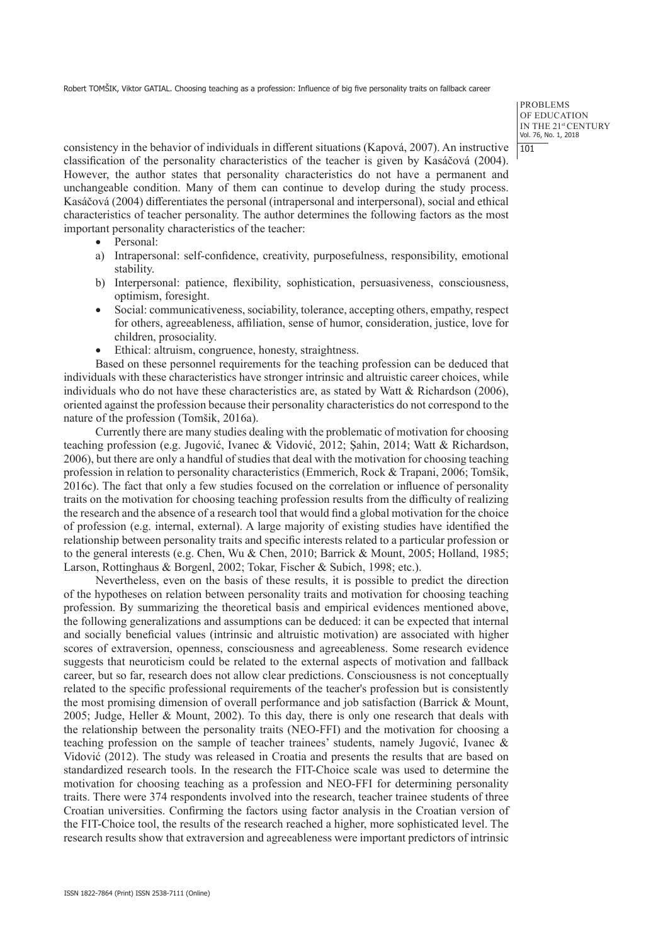**PROBLEMS** OF EDUCATION IN THE 21st CENTURY Vol. 76, No. 1, 2018  $101$ 

consistency in the behavior of individuals in different situations (Kapová, 2007). An instructive classification of the personality characteristics of the teacher is given by Kasáčová (2004). However, the author states that personality characteristics do not have a permanent and unchangeable condition. Many of them can continue to develop during the study process. Kasáčová (2004) differentiates the personal (intrapersonal and interpersonal), social and ethical characteristics of teacher personality. The author determines the following factors as the most important personality characteristics of the teacher:

- Personal:
- a) Intrapersonal: self-confidence, creativity, purposefulness, responsibility, emotional stability.
- b) Interpersonal: patience, flexibility, sophistication, persuasiveness, consciousness, optimism, foresight.
- Social: communicativeness, sociability, tolerance, accepting others, empathy, respect for others, agreeableness, affiliation, sense of humor, consideration, justice, love for children, prosociality.
- Ethical: altruism, congruence, honesty, straightness.

Based on these personnel requirements for the teaching profession can be deduced that individuals with these characteristics have stronger intrinsic and altruistic career choices, while individuals who do not have these characteristics are, as stated by Watt & Richardson (2006), oriented against the profession because their personality characteristics do not correspond to the nature of the profession (Tomšik, 2016a).

Currently there are many studies dealing with the problematic of motivation for choosing teaching profession (e.g. Jugović, Ivanec & Vidović, 2012; Şahin, 2014; Watt & Richardson, 2006), but there are only a handful of studies that deal with the motivation for choosing teaching profession in relation to personality characteristics (Emmerich, Rock & Trapani, 2006; Tomšik, 2016c). The fact that only a few studies focused on the correlation or influence of personality traits on the motivation for choosing teaching profession results from the difficulty of realizing the research and the absence of a research tool that would find a global motivation for the choice of profession (e.g. internal, external). A large majority of existing studies have identified the relationship between personality traits and specific interests related to a particular profession or to the general interests (e.g. Chen, Wu & Chen, 2010; Barrick & Mount, 2005; Holland, 1985; Larson, Rottinghaus & Borgenl, 2002; Tokar, Fischer & Subich, 1998; etc.).

Nevertheless, even on the basis of these results, it is possible to predict the direction of the hypotheses on relation between personality traits and motivation for choosing teaching profession. By summarizing the theoretical basis and empirical evidences mentioned above, the following generalizations and assumptions can be deduced: it can be expected that internal and socially beneficial values (intrinsic and altruistic motivation) are associated with higher scores of extraversion, openness, consciousness and agreeableness. Some research evidence suggests that neuroticism could be related to the external aspects of motivation and fallback career, but so far, research does not allow clear predictions. Consciousness is not conceptually related to the specific professional requirements of the teacher's profession but is consistently the most promising dimension of overall performance and job satisfaction (Barrick & Mount, 2005; Judge, Heller & Mount, 2002). To this day, there is only one research that deals with the relationship between the personality traits (NEO-FFI) and the motivation for choosing a teaching profession on the sample of teacher trainees' students, namely Jugović, Ivanec & Vidović (2012). The study was released in Croatia and presents the results that are based on standardized research tools. In the research the FIT-Choice scale was used to determine the motivation for choosing teaching as a profession and NEO-FFI for determining personality traits. There were 374 respondents involved into the research, teacher trainee students of three Croatian universities. Confirming the factors using factor analysis in the Croatian version of the FIT-Choice tool, the results of the research reached a higher, more sophisticated level. The research results show that extraversion and agreeableness were important predictors of intrinsic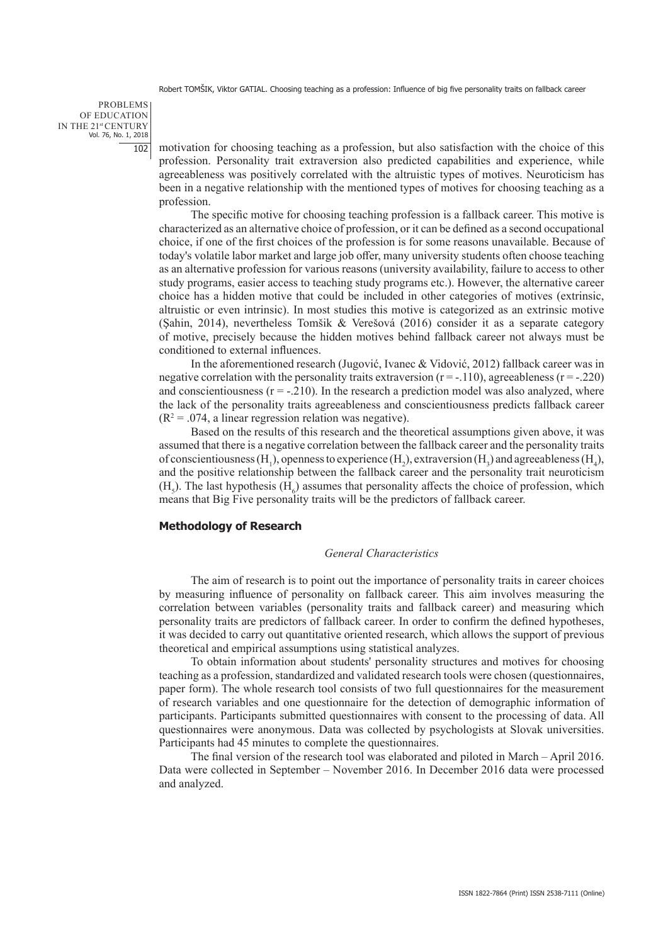PROBLEMS OF EDUCATION IN THE 21st CENTURY Vol. 76, No. 1, 2018 102

motivation for choosing teaching as a profession, but also satisfaction with the choice of this profession. Personality trait extraversion also predicted capabilities and experience, while agreeableness was positively correlated with the altruistic types of motives. Neuroticism has been in a negative relationship with the mentioned types of motives for choosing teaching as a profession.

The specific motive for choosing teaching profession is a fallback career. This motive is characterized as an alternative choice of profession, or it can be defined as a second occupational choice, if one of the first choices of the profession is for some reasons unavailable. Because of today's volatile labor market and large job offer, many university students often choose teaching as an alternative profession for various reasons (university availability, failure to access to other study programs, easier access to teaching study programs etc.). However, the alternative career choice has a hidden motive that could be included in other categories of motives (extrinsic, altruistic or even intrinsic). In most studies this motive is categorized as an extrinsic motive (Şahin, 2014), nevertheless Tomšik & Verešová (2016) consider it as a separate category of motive, precisely because the hidden motives behind fallback career not always must be conditioned to external influences.

In the aforementioned research (Jugović, Ivanec & Vidović, 2012) fallback career was in negative correlation with the personality traits extraversion  $(r = -110)$ , agreeableness  $(r = -220)$ and conscientiousness  $(r = -0.210)$ . In the research a prediction model was also analyzed, where the lack of the personality traits agreeableness and conscientiousness predicts fallback career  $(R<sup>2</sup> = .074$ , a linear regression relation was negative).

Based on the results of this research and the theoretical assumptions given above, it was assumed that there is a negative correlation between the fallback career and the personality traits of conscientiousness  $(H_1)$ , openness to experience  $(H_2)$ , extraversion  $(H_3)$  and agreeableness  $(H_4)$ , and the positive relationship between the fallback career and the personality trait neuroticism  $(H<sub>5</sub>)$ . The last hypothesis  $(H<sub>6</sub>)$  assumes that personality affects the choice of profession, which means that Big Five personality traits will be the predictors of fallback career.

## **Methodology of Research**

#### *General Characteristics*

The aim of research is to point out the importance of personality traits in career choices by measuring influence of personality on fallback career. This aim involves measuring the correlation between variables (personality traits and fallback career) and measuring which personality traits are predictors of fallback career. In order to confirm the defined hypotheses, it was decided to carry out quantitative oriented research, which allows the support of previous theoretical and empirical assumptions using statistical analyzes.

To obtain information about students' personality structures and motives for choosing teaching as a profession, standardized and validated research tools were chosen (questionnaires, paper form). The whole research tool consists of two full questionnaires for the measurement of research variables and one questionnaire for the detection of demographic information of participants. Participants submitted questionnaires with consent to the processing of data. All questionnaires were anonymous. Data was collected by psychologists at Slovak universities. Participants had 45 minutes to complete the questionnaires.

The final version of the research tool was elaborated and piloted in March – April 2016. Data were collected in September – November 2016. In December 2016 data were processed and analyzed.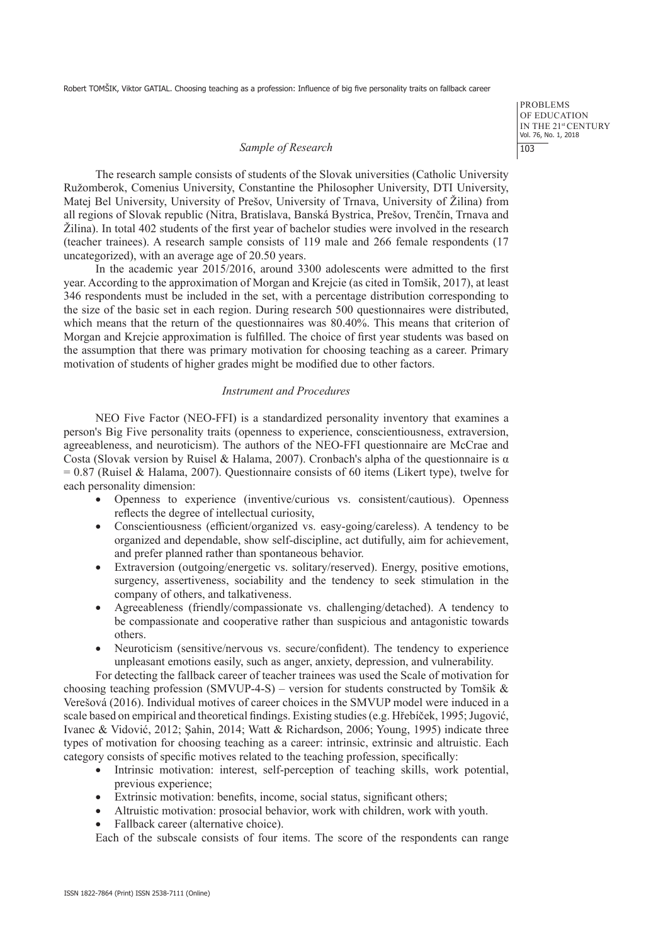#### *Sample of Research*

PROBLEMS OF EDUCATION IN THE 21st CENTURY Vol. 76, No. 1, 2018  $103$ 

The research sample consists of students of the Slovak universities (Catholic University Ružomberok, Comenius University, Constantine the Philosopher University, DTI University, Matej Bel University, University of Prešov, University of Trnava, University of Žilina) from all regions of Slovak republic (Nitra, Bratislava, Banská Bystrica, Prešov, Trenčín, Trnava and Žilina). In total 402 students of the first year of bachelor studies were involved in the research (teacher trainees). A research sample consists of 119 male and 266 female respondents (17 uncategorized), with an average age of 20.50 years.

In the academic year 2015/2016, around 3300 adolescents were admitted to the first year. According to the approximation of Morgan and Krejcie (as cited in Tomšik, 2017), at least 346 respondents must be included in the set, with a percentage distribution corresponding to the size of the basic set in each region. During research 500 questionnaires were distributed, which means that the return of the questionnaires was 80.40%. This means that criterion of Morgan and Krejcie approximation is fulfilled. The choice of first year students was based on the assumption that there was primary motivation for choosing teaching as a career. Primary motivation of students of higher grades might be modified due to other factors.

#### *Instrument and Procedures*

NEO Five Factor (NEO-FFI) is a standardized personality inventory that examines a person's Big Five personality traits (openness to experience, conscientiousness, extraversion, agreeableness, and neuroticism). The authors of the NEO-FFI questionnaire are McCrae and Costa (Slovak version by Ruisel & Halama, 2007). Cronbach's alpha of the questionnaire is  $\alpha$ = 0.87 (Ruisel & Halama, 2007). Questionnaire consists of 60 items (Likert type), twelve for each personality dimension:

- • Openness to experience (inventive/curious vs. consistent/cautious). Openness reflects the degree of intellectual curiosity,
- Conscientiousness (efficient/organized vs. easy-going/careless). A tendency to be organized and dependable, show self-discipline, act dutifully, aim for achievement, and prefer planned rather than spontaneous behavior.
- Extraversion (outgoing/energetic vs. solitary/reserved). Energy, positive emotions, surgency, assertiveness, sociability and the tendency to seek stimulation in the company of others, and talkativeness.
- Agreeableness (friendly/compassionate vs. challenging/detached). A tendency to be compassionate and cooperative rather than suspicious and antagonistic towards others.
- Neuroticism (sensitive/nervous vs. secure/confident). The tendency to experience unpleasant emotions easily, such as anger, anxiety, depression, and vulnerability.

For detecting the fallback career of teacher trainees was used the Scale of motivation for choosing teaching profession (SMVUP-4-S) – version for students constructed by Tomšik  $\&$ Verešová (2016). Individual motives of career choices in the SMVUP model were induced in a scale based on empirical and theoretical findings. Existing studies (e.g. Hřebíček, 1995; Jugović, Ivanec & Vidović, 2012; Şahin, 2014; Watt & Richardson, 2006; Young, 1995) indicate three types of motivation for choosing teaching as a career: intrinsic, extrinsic and altruistic. Each category consists of specific motives related to the teaching profession, specifically:

- Intrinsic motivation: interest, self-perception of teaching skills, work potential, previous experience;
- Extrinsic motivation: benefits, income, social status, significant others;
- Altruistic motivation: prosocial behavior, work with children, work with youth.
- Fallback career (alternative choice).

Each of the subscale consists of four items. The score of the respondents can range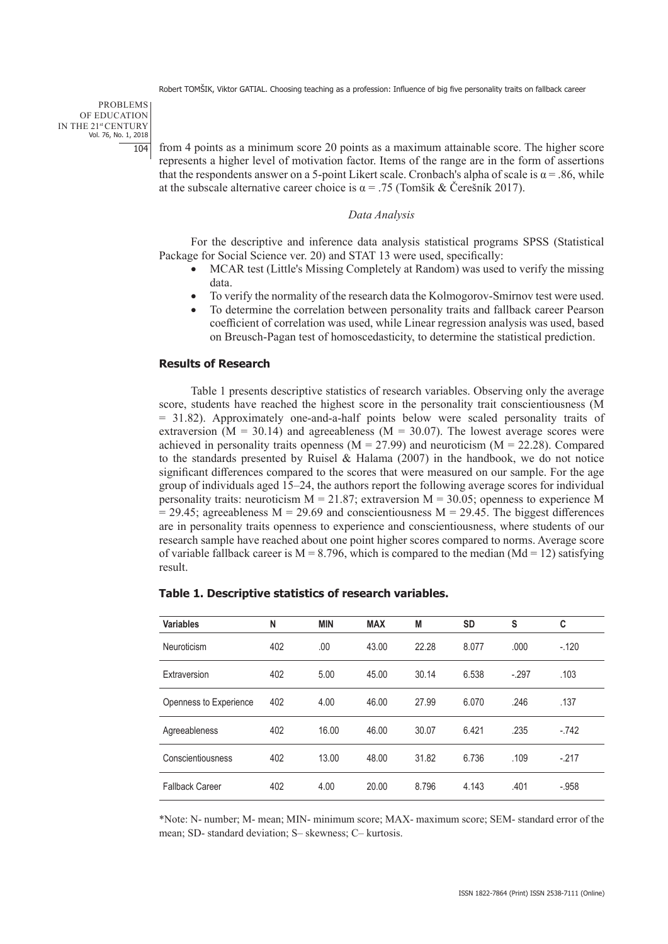PROBLEMS OF EDUCATION IN THE 21st CENTURY Vol. 76, No. 1, 2018 104

from 4 points as a minimum score 20 points as a maximum attainable score. The higher score represents a higher level of motivation factor. Items of the range are in the form of assertions that the respondents answer on a 5-point Likert scale. Cronbach's alpha of scale is  $\alpha$  = .86, while at the subscale alternative career choice is  $\alpha = .75$  (Tomšik & Čerešník 2017).

# *Data Analysis*

For the descriptive and inference data analysis statistical programs SPSS (Statistical Package for Social Science ver. 20) and STAT 13 were used, specifically:

- MCAR test (Little's Missing Completely at Random) was used to verify the missing data.
- To verify the normality of the research data the Kolmogorov-Smirnov test were used.
- To determine the correlation between personality traits and fallback career Pearson coefficient of correlation was used, while Linear regression analysis was used, based on Breusch-Pagan test of homoscedasticity, to determine the statistical prediction.

# **Results of Research**

I

Table 1 presents descriptive statistics of research variables. Observing only the average score, students have reached the highest score in the personality trait conscientiousness (M = 31.82). Approximately one-and-a-half points below were scaled personality traits of extraversion ( $M = 30.14$ ) and agreeableness ( $M = 30.07$ ). The lowest average scores were achieved in personality traits openness ( $M = 27.99$ ) and neuroticism ( $M = 22.28$ ). Compared to the standards presented by Ruisel & Halama (2007) in the handbook, we do not notice significant differences compared to the scores that were measured on our sample. For the age group of individuals aged 15–24, the authors report the following average scores for individual personality traits: neuroticism  $M = 21.87$ ; extraversion  $M = 30.05$ ; openness to experience M  $= 29.45$ ; agreeableness M = 29.69 and conscientiousness M = 29.45. The biggest differences are in personality traits openness to experience and conscientiousness, where students of our research sample have reached about one point higher scores compared to norms. Average score of variable fallback career is  $M = 8.796$ , which is compared to the median ( $Md = 12$ ) satisfying result.

| <b>Variables</b>       | N   | <b>MIN</b> | <b>MAX</b> | M     | <b>SD</b> | S       | C       |
|------------------------|-----|------------|------------|-------|-----------|---------|---------|
| Neuroticism            | 402 | .00        | 43.00      | 22.28 | 8.077     | .000    | $-120$  |
| Extraversion           | 402 | 5.00       | 45.00      | 30.14 | 6.538     | $-.297$ | .103    |
| Openness to Experience | 402 | 4.00       | 46.00      | 27.99 | 6.070     | .246    | .137    |
| Agreeableness          | 402 | 16.00      | 46.00      | 30.07 | 6.421     | .235    | $-.742$ |
| Conscientiousness      | 402 | 13.00      | 48.00      | 31.82 | 6.736     | .109    | $-217$  |
| <b>Fallback Career</b> | 402 | 4.00       | 20.00      | 8.796 | 4.143     | .401    | $-.958$ |

# **Table 1. Descriptive statistics of research variables.**

\*Note: N- number; M- mean; MIN- minimum score; MAX- maximum score; SEM- standard error of the mean; SD- standard deviation; S– skewness; C– kurtosis.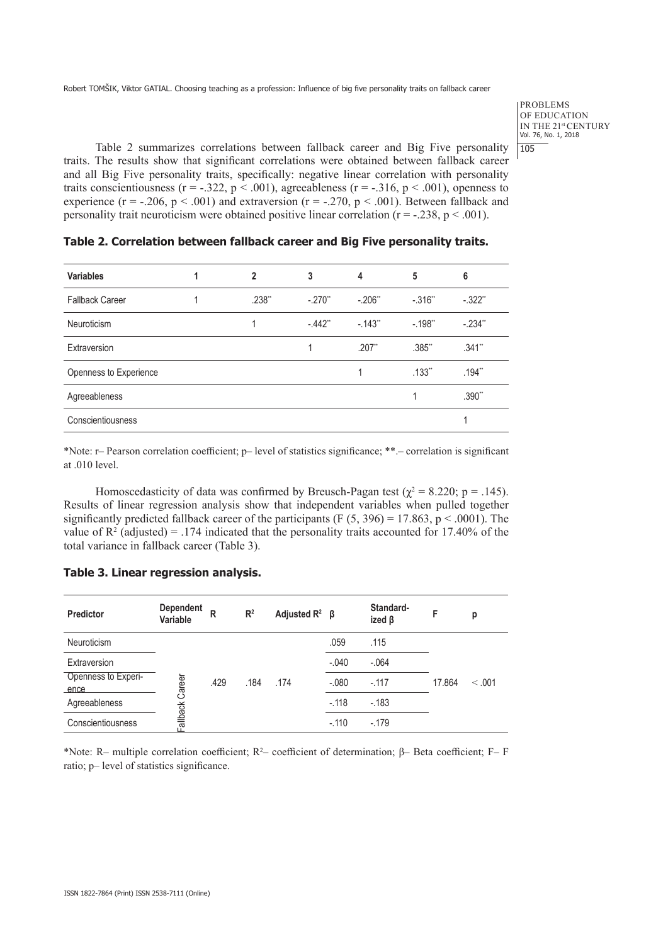#### PROBLEMS OF EDUCATION IN THE 21st CENTURY Vol. 76, No. 1, 2018 105

Table 2 summarizes correlations between fallback career and Big Five personality traits. The results show that significant correlations were obtained between fallback career and all Big Five personality traits, specifically: negative linear correlation with personality traits conscientiousness ( $r = -0.322$ ,  $p < 0.001$ ), agreeableness ( $r = -0.316$ ,  $p < 0.001$ ), openness to experience (r = -.206, p < .001) and extraversion (r = -.270, p < .001). Between fallback and personality trait neuroticism were obtained positive linear correlation  $(r = -.238, p < .001)$ .

| <b>Variables</b>       | $\mathbf{2}$ | 3                    | 4                    | 5        | 6                    |
|------------------------|--------------|----------------------|----------------------|----------|----------------------|
| <b>Fallback Career</b> | .238"        | $-.270"$             | $-.206"$             | $-.316"$ | $-.322"$             |
| Neuroticism            | 4            | $-442$ <sup>**</sup> | $-143"$              | $-198"$  | $-.234"$             |
| Extraversion           |              | 4                    | $.207$ <sup>**</sup> | .385"    | $.341$ <sup>**</sup> |
| Openness to Experience |              |                      |                      | .133"    | .194"                |
| Agreeableness          |              |                      |                      | 1        | .390**               |
| Conscientiousness      |              |                      |                      |          |                      |

**Table 2. Correlation between fallback career and Big Five personality traits.**

\*Note: r– Pearson correlation coefficient; p– level of statistics significance; \*\*.– correlation is significant at .010 level.

Homoscedasticity of data was confirmed by Breusch-Pagan test ( $\chi^2 = 8.220$ ; p = .145). Results of linear regression analysis show that independent variables when pulled together significantly predicted fallback career of the participants (F  $(5, 396) = 17.863$ , p < .0001). The value of  $\mathbb{R}^2$  (adjusted) = .174 indicated that the personality traits accounted for 17.40% of the total variance in fallback career (Table 3).

# **Table 3. Linear regression analysis.**

| Predictor                   | <b>Dependent</b><br>Variable | R    | R <sup>2</sup> | Adjusted $R^2$ $\beta$ |         | Standard-<br>ized $\beta$ | F      | р      |
|-----------------------------|------------------------------|------|----------------|------------------------|---------|---------------------------|--------|--------|
| Neuroticism                 |                              | .429 | .184           | .174                   | .059    | .115                      | 17.864 | < 0.01 |
| Extraversion                |                              |      |                |                        | $-.040$ | $-.064$                   |        |        |
| Openness to Experi-<br>ence | Career                       |      |                |                        | $-.080$ | $-117$                    |        |        |
| Agreeableness               |                              |      |                |                        | $-.118$ | $-183$                    |        |        |
| Conscientiousness           | Fallback                     |      |                |                        | $-.110$ | $-.179$                   |        |        |

\*Note: R– multiple correlation coefficient; R<sup>2</sup>– coefficient of determination; β– Beta coefficient; F– F ratio; p– level of statistics significance.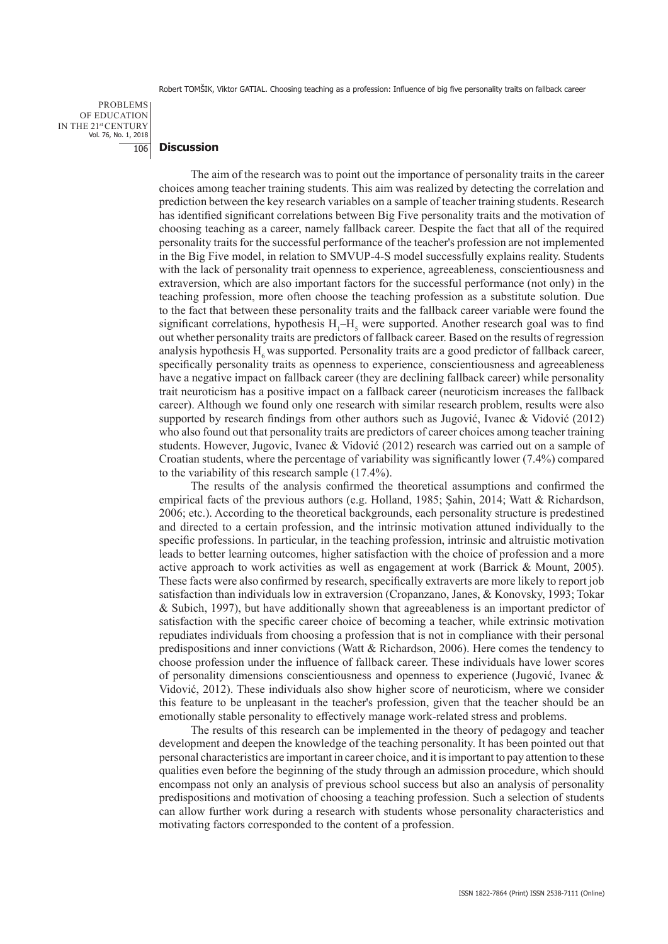PROBLEMS OF EDUCATION IN THE 21st CENTURY Vol. 76, No. 1, 2018 106

# **Discussion**

The aim of the research was to point out the importance of personality traits in the career choices among teacher training students. This aim was realized by detecting the correlation and prediction between the key research variables on a sample of teacher training students. Research has identified significant correlations between Big Five personality traits and the motivation of choosing teaching as a career, namely fallback career. Despite the fact that all of the required personality traits for the successful performance of the teacher's profession are not implemented in the Big Five model, in relation to SMVUP-4-S model successfully explains reality. Students with the lack of personality trait openness to experience, agreeableness, conscientiousness and extraversion, which are also important factors for the successful performance (not only) in the teaching profession, more often choose the teaching profession as a substitute solution. Due to the fact that between these personality traits and the fallback career variable were found the significant correlations, hypothesis  $H_1$ – $H_5$  were supported. Another research goal was to find out whether personality traits are predictors of fallback career. Based on the results of regression analysis hypothesis  $H<sub>k</sub>$  was supported. Personality traits are a good predictor of fallback career, specifically personality traits as openness to experience, conscientiousness and agreeableness have a negative impact on fallback career (they are declining fallback career) while personality trait neuroticism has a positive impact on a fallback career (neuroticism increases the fallback career). Although we found only one research with similar research problem, results were also supported by research findings from other authors such as Jugović, Ivanec & Vidović (2012) who also found out that personality traits are predictors of career choices among teacher training students. However, Jugovic, Ivanec & Vidović (2012) research was carried out on a sample of Croatian students, where the percentage of variability was significantly lower (7.4%) compared to the variability of this research sample (17.4%).

The results of the analysis confirmed the theoretical assumptions and confirmed the empirical facts of the previous authors (e.g. Holland, 1985; Şahin, 2014; Watt & Richardson, 2006; etc.). According to the theoretical backgrounds, each personality structure is predestined and directed to a certain profession, and the intrinsic motivation attuned individually to the specific professions. In particular, in the teaching profession, intrinsic and altruistic motivation leads to better learning outcomes, higher satisfaction with the choice of profession and a more active approach to work activities as well as engagement at work (Barrick & Mount, 2005). These facts were also confirmed by research, specifically extraverts are more likely to report job satisfaction than individuals low in extraversion (Cropanzano, Janes, & Konovsky, 1993; Tokar & Subich, 1997), but have additionally shown that agreeableness is an important predictor of satisfaction with the specific career choice of becoming a teacher, while extrinsic motivation repudiates individuals from choosing a profession that is not in compliance with their personal predispositions and inner convictions (Watt & Richardson, 2006). Here comes the tendency to choose profession under the influence of fallback career. These individuals have lower scores of personality dimensions conscientiousness and openness to experience (Jugović, Ivanec & Vidović, 2012). These individuals also show higher score of neuroticism, where we consider this feature to be unpleasant in the teacher's profession, given that the teacher should be an emotionally stable personality to effectively manage work-related stress and problems.

The results of this research can be implemented in the theory of pedagogy and teacher development and deepen the knowledge of the teaching personality. It has been pointed out that personal characteristics are important in career choice, and it is important to pay attention to these qualities even before the beginning of the study through an admission procedure, which should encompass not only an analysis of previous school success but also an analysis of personality predispositions and motivation of choosing a teaching profession. Such a selection of students can allow further work during a research with students whose personality characteristics and motivating factors corresponded to the content of a profession.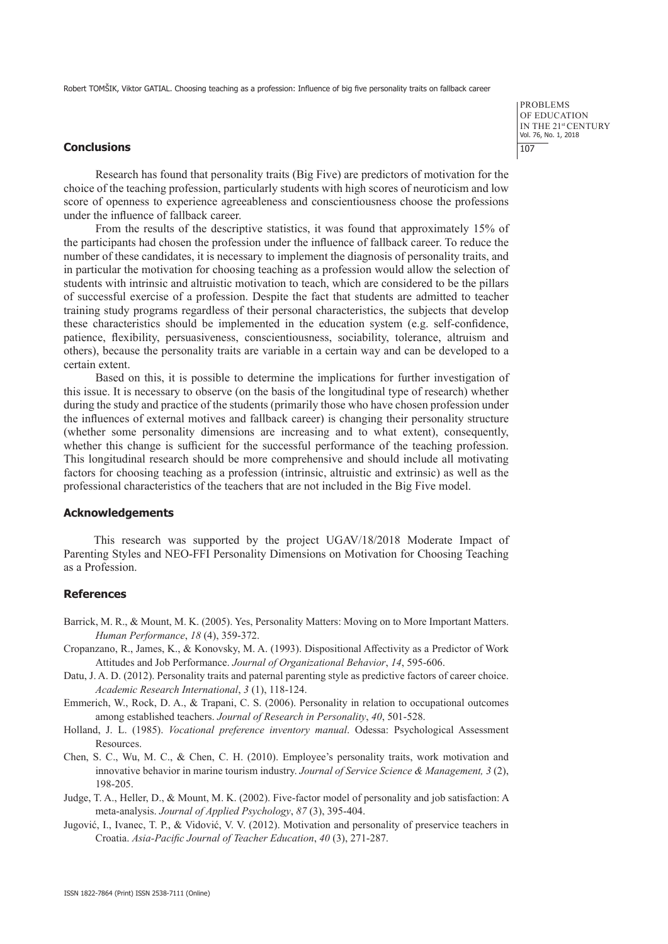#### **Conclusions**

PROBLEMS OF EDUCATION IN THE 21st CENTURY Vol. 76, No. 1, 2018 107

Research has found that personality traits (Big Five) are predictors of motivation for the choice of the teaching profession, particularly students with high scores of neuroticism and low score of openness to experience agreeableness and conscientiousness choose the professions under the influence of fallback career.

From the results of the descriptive statistics, it was found that approximately 15% of the participants had chosen the profession under the influence of fallback career. To reduce the number of these candidates, it is necessary to implement the diagnosis of personality traits, and in particular the motivation for choosing teaching as a profession would allow the selection of students with intrinsic and altruistic motivation to teach, which are considered to be the pillars of successful exercise of a profession. Despite the fact that students are admitted to teacher training study programs regardless of their personal characteristics, the subjects that develop these characteristics should be implemented in the education system (e.g. self-confidence, patience, flexibility, persuasiveness, conscientiousness, sociability, tolerance, altruism and others), because the personality traits are variable in a certain way and can be developed to a certain extent.

Based on this, it is possible to determine the implications for further investigation of this issue. It is necessary to observe (on the basis of the longitudinal type of research) whether during the study and practice of the students (primarily those who have chosen profession under the influences of external motives and fallback career) is changing their personality structure (whether some personality dimensions are increasing and to what extent), consequently, whether this change is sufficient for the successful performance of the teaching profession. This longitudinal research should be more comprehensive and should include all motivating factors for choosing teaching as a profession (intrinsic, altruistic and extrinsic) as well as the professional characteristics of the teachers that are not included in the Big Five model.

# **Acknowledgements**

This research was supported by the project UGAV/18/2018 Moderate Impact of Parenting Styles and NEO-FFI Personality Dimensions on Motivation for Choosing Teaching as a Profession.

# **References**

- Barrick, M. R., & Mount, M. K. (2005). Yes, Personality Matters: Moving on to More Important Matters. *Human Performance*, *18* (4), 359-372.
- Cropanzano, R., James, K., & Konovsky, M. A. (1993). Dispositional Affectivity as a Predictor of Work Attitudes and Job Performance. *Journal of Organizational Behavior*, *14*, 595-606.
- Datu, J. A. D. (2012). Personality traits and paternal parenting style as predictive factors of career choice. *Academic Research International*, *3* (1), 118-124.
- Emmerich, W., Rock, D. A., & Trapani, C. S. (2006). Personality in relation to occupational outcomes among established teachers. *Journal of Research in Personality*, *40*, 501-528.
- Holland, J. L. (1985). *Vocational preference inventory manual*. Odessa: Psychological Assessment Resources.
- Chen, S. C., Wu, M. C., & Chen, C. H. (2010). Employee's personality traits, work motivation and innovative behavior in marine tourism industry. *Journal of Service Science & Management, 3* (2), 198-205.
- Judge, T. A., Heller, D., & Mount, M. K. (2002). Five-factor model of personality and job satisfaction: A meta-analysis. *Journal of Applied Psychology*, *87* (3), 395-404.
- Jugović, I., Ivanec, T. P., & Vidović, V. V. (2012). Motivation and personality of preservice teachers in Croatia. *Asia-Pacific Journal of Teacher Education*, *40* (3), 271-287.